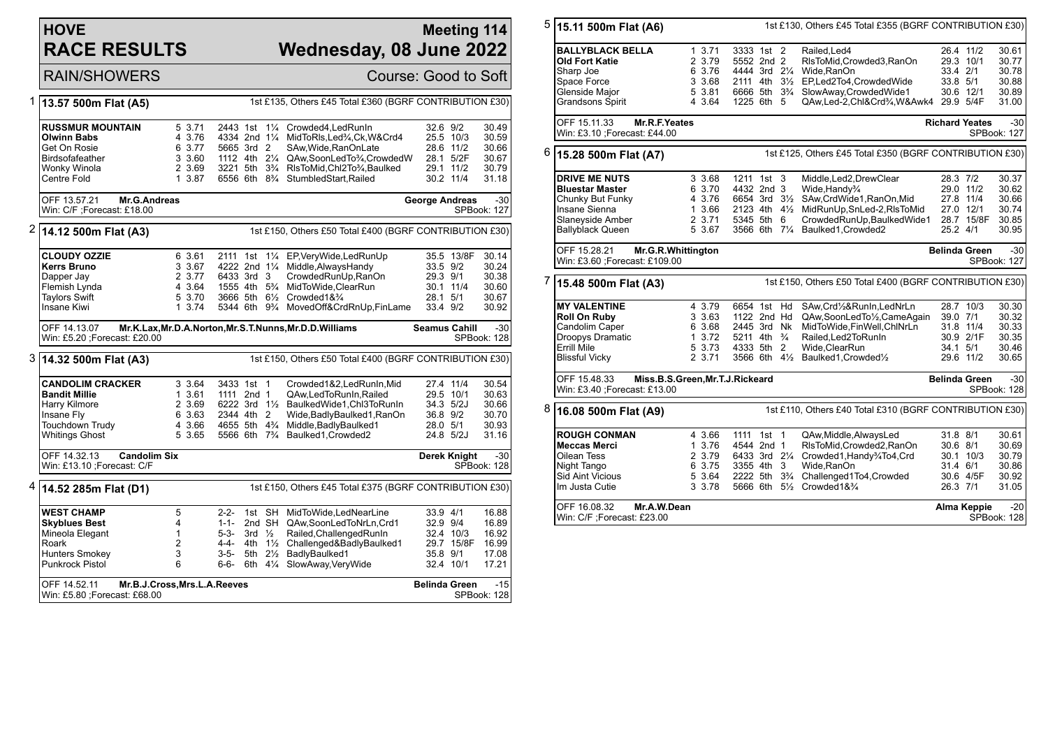## **HOVE RACE RESULTS**

## **Meeting 114 Wednesday, 08 June 2022**

RAIN/SHOWERS Course: Good to Soft

| 1                                                                                                       | 13.57 500m Flat (A5)                                               |                  |                                        |                   |                      | 1st £135, Others £45 Total £360 (BGRF CONTRIBUTION £30)                                       |                        |              |                      |  |  |  |
|---------------------------------------------------------------------------------------------------------|--------------------------------------------------------------------|------------------|----------------------------------------|-------------------|----------------------|-----------------------------------------------------------------------------------------------|------------------------|--------------|----------------------|--|--|--|
|                                                                                                         |                                                                    |                  |                                        |                   |                      |                                                                                               |                        |              |                      |  |  |  |
|                                                                                                         | <b>RUSSMUR MOUNTAIN</b>                                            | 5 3.71           | 2443 1st                               |                   | $1\frac{1}{4}$       | Crowded4, Led Run In                                                                          | 32.6 9/2               |              | 30.49                |  |  |  |
|                                                                                                         | <b>Olwinn Babs</b>                                                 | 4 3.76           |                                        |                   |                      | 4334 2nd 11/4 MidToRIs, Led3/4, Ck, W& Crd4                                                   | 25.5 10/3              |              | 30.59                |  |  |  |
|                                                                                                         | Get On Rosie<br>Birdsofafeather                                    | 6 3.77<br>3 3.60 | 5665 3rd 2                             |                   |                      | SAw, Wide, RanOnLate<br>1112 4th 21/4 QAw, SoonLedTo3/4, CrowdedW                             | 28.6 11/2<br>28.1 5/2F |              | 30.66<br>30.67       |  |  |  |
|                                                                                                         | Wonky Winola                                                       | 2 3.69           |                                        |                   |                      | 3221 5th 3 <sup>3</sup> / <sub>4</sub> RIsToMid, Chl2To <sup>3</sup> / <sub>4</sub> , Baulked | 29.1 11/2              |              | 30.79                |  |  |  |
|                                                                                                         | Centre Fold                                                        | 1 3.87           |                                        |                   |                      | 6556 6th 8 <sup>3</sup> / <sub>4</sub> StumbledStart, Railed                                  | 30.2 11/4              |              | 31.18                |  |  |  |
|                                                                                                         |                                                                    |                  |                                        |                   |                      |                                                                                               |                        |              |                      |  |  |  |
|                                                                                                         | OFF 13.57.21<br>Mr.G.Andreas                                       |                  |                                        |                   |                      | $-30$<br><b>George Andreas</b>                                                                |                        |              |                      |  |  |  |
|                                                                                                         | Win: C/F ;Forecast: £18.00                                         |                  |                                        |                   |                      |                                                                                               |                        |              | SPBook: 127          |  |  |  |
| 2                                                                                                       | 14.12 500m Flat (A3)                                               |                  |                                        |                   |                      | 1st £150, Others £50 Total £400 (BGRF CONTRIBUTION £30)                                       |                        |              |                      |  |  |  |
|                                                                                                         | <b>CLOUDY OZZIE</b>                                                | 6 3.61           | 2111 1st                               |                   |                      | 11/4 EP, Very Wide, Led Run Up                                                                |                        | 35.5 13/8F   | 30.14                |  |  |  |
|                                                                                                         | Kerrs Bruno                                                        | 3 3.67           | 4222 2nd 11/4                          |                   |                      | Middle, Always Handy                                                                          | 33.5 9/2               |              | 30.24                |  |  |  |
|                                                                                                         | Dapper Jay                                                         | 2 3.77           | 6433 3rd 3                             |                   |                      | CrowdedRunUp, RanOn                                                                           | 29.3 9/1               |              | 30.38                |  |  |  |
|                                                                                                         | Flemish Lynda                                                      | 4 3.64           | 1555 4th 5 <sup>3</sup> / <sub>4</sub> |                   |                      | MidToWide, ClearRun                                                                           | 30.1 11/4              |              | 30.60                |  |  |  |
|                                                                                                         | <b>Taylors Swift</b>                                               | 5 3.70           |                                        |                   |                      | 3666 5th 61/2 Crowded 1& 3/4                                                                  | 28.1 5/1               |              | 30.67                |  |  |  |
|                                                                                                         | Insane Kiwi                                                        | 1 3.74           |                                        |                   |                      | 5344 6th 9% MovedOff&CrdRnUp,FinLame                                                          | 33.4 9/2               |              | 30.92                |  |  |  |
| Mr.K.Lax, Mr.D.A.Norton, Mr.S.T.Nunns, Mr.D.D.Williams<br>OFF 14.13.07<br>Win: £5.20 ; Forecast: £20.00 |                                                                    |                  |                                        |                   |                      |                                                                                               | <b>Seamus Cahill</b>   |              | $-30$<br>SPBook: 128 |  |  |  |
|                                                                                                         |                                                                    |                  |                                        |                   |                      |                                                                                               |                        |              |                      |  |  |  |
| 3                                                                                                       | 14.32 500m Flat (A3)                                               |                  |                                        |                   |                      | 1st £150, Others £50 Total £400 (BGRF CONTRIBUTION £30)                                       |                        |              |                      |  |  |  |
|                                                                                                         | <b>CANDOLIM CRACKER</b>                                            | 3 3.64           | 3433 1st 1                             |                   |                      | Crowded1&2,LedRunIn,Mid                                                                       | 27.4 11/4              |              | 30.54                |  |  |  |
|                                                                                                         | <b>Bandit Millie</b>                                               | 1 3.61           | 1111 2nd 1                             |                   |                      | QAw,LedToRunIn,Railed                                                                         | 29.5 10/1              |              | 30.63                |  |  |  |
|                                                                                                         | Harry Kilmore                                                      | 2 3.69           |                                        |                   |                      | 6222 3rd 11/2 BaulkedWide1, Chl3ToRunIn                                                       | 34.3 5/2J              |              | 30.66                |  |  |  |
|                                                                                                         | Insane Fly                                                         | 6 3.63           | 2344 4th 2                             |                   |                      | Wide, Badly Baulked 1, RanOn                                                                  | 36.8 9/2               |              | 30.70                |  |  |  |
|                                                                                                         | Touchdown Trudy                                                    | 4 3.66           | 4655 5th 4 <sup>3</sup> / <sub>4</sub> |                   |                      | Middle, Badly Baulked1                                                                        | 28.0 5/1               |              | 30.93                |  |  |  |
|                                                                                                         | <b>Whitings Ghost</b>                                              | 5 3.65           | 5566 6th 7 <sup>3</sup> / <sub>4</sub> |                   |                      | Baulked1, Crowded2                                                                            | 24.8 5/2J              |              | 31.16                |  |  |  |
|                                                                                                         | OFF 14.32.13<br><b>Candolim Six</b><br>Win: £13.10 ; Forecast: C/F |                  |                                        |                   |                      |                                                                                               |                        | Derek Knight | $-30$<br>SPBook: 128 |  |  |  |
|                                                                                                         |                                                                    |                  |                                        |                   |                      |                                                                                               |                        |              |                      |  |  |  |
| 4                                                                                                       | 14.52 285m Flat (D1)                                               |                  |                                        |                   |                      | 1st £150, Others £45 Total £375 (BGRF CONTRIBUTION £30)                                       |                        |              |                      |  |  |  |
|                                                                                                         | <b>WEST CHAMP</b>                                                  | 5                |                                        |                   |                      | 2-2- 1st SH MidToWide.LedNearLine                                                             | 33.9 4/1               |              | 16.88                |  |  |  |
|                                                                                                         | <b>Skyblues Best</b>                                               | 4                | $1 - 1 -$                              |                   |                      | 2nd SH QAw, SoonLedToNrLn, Crd1                                                               | 32.9 9/4               |              | 16.89                |  |  |  |
|                                                                                                         | Mineola Elegant                                                    | $\mathbf{1}$     | $5-3-$                                 | 3rd $\frac{1}{2}$ |                      | Railed, Challenged RunIn                                                                      | 32.4 10/3              |              | 16.92                |  |  |  |
|                                                                                                         | Roark                                                              | $\overline{2}$   | 4-4-                                   |                   | 4th 11/ <sub>2</sub> | Challenged&BadlyBaulked1                                                                      |                        | 29.7 15/8F   | 16.99                |  |  |  |
|                                                                                                         | Hunters Smokey                                                     | 3<br>6           | $3 - 5 -$                              |                   | 5th 21/ <sub>2</sub> | BadlyBaulked1                                                                                 | 35.8 9/1<br>32.4 10/1  |              | 17.08<br>17.21       |  |  |  |
|                                                                                                         | Punkrock Pistol                                                    |                  | 6-6-                                   |                   |                      | 6th 41/4 SlowAway, Very Wide                                                                  |                        |              |                      |  |  |  |
|                                                                                                         |                                                                    |                  |                                        |                   |                      |                                                                                               |                        |              |                      |  |  |  |

| 5                                                                                    | 15.11 500m Flat (A6)                                                                                                               |                                                          |                                                                                                                                 | 1st £130, Others £45 Total £355 (BGRF CONTRIBUTION £30)                                                                                                 |                                              |                                                              |                                                    |
|--------------------------------------------------------------------------------------|------------------------------------------------------------------------------------------------------------------------------------|----------------------------------------------------------|---------------------------------------------------------------------------------------------------------------------------------|---------------------------------------------------------------------------------------------------------------------------------------------------------|----------------------------------------------|--------------------------------------------------------------|----------------------------------------------------|
|                                                                                      | <b>BALLYBLACK BELLA</b><br>Old Fort Katie<br>Sharp Joe<br>Space Force                                                              | 13.71<br>2 3.79<br>6 3.76<br>3 3.68                      | 3333 1st 2<br>5552 2nd 2<br>4444 3rd 21/4<br>2111 4th 31/2                                                                      | Railed.Led4<br>RIsToMid, Crowded3, RanOn<br>Wide, RanOn<br>EP,Led2To4,CrowdedWide                                                                       | 33.4 2/1<br>33.8 5/1                         | 26.4 11/2<br>29.3 10/1                                       | 30.61<br>30.77<br>30.78<br>30.88                   |
|                                                                                      | Glenside Major<br>Grandsons Spirit                                                                                                 | 5 3.81<br>4 3.64                                         | 1225 6th 5                                                                                                                      | 6666 5th 3 <sup>3</sup> / <sub>4</sub> SlowAway, Crowded Wide1<br>QAw,Led-2,Chl&Crd3/4,W&Awk4 29.9 5/4F                                                 |                                              | 30.6 12/1                                                    | 30.89<br>31.00                                     |
|                                                                                      | OFF 15.11.33<br>Mr.R.F.Yeates<br>Win: £3.10 ; Forecast: £44.00                                                                     |                                                          |                                                                                                                                 |                                                                                                                                                         |                                              | <b>Richard Yeates</b>                                        | $-30$<br>SPBook: 127                               |
| 6                                                                                    | 15.28 500m Flat (A7)                                                                                                               |                                                          |                                                                                                                                 | 1st £125, Others £45 Total £350 (BGRF CONTRIBUTION £30)                                                                                                 |                                              |                                                              |                                                    |
|                                                                                      | <b>DRIVE ME NUTS</b><br><b>Bluestar Master</b><br>Chunky But Funky<br>Insane Sienna<br>Slaneyside Amber<br><b>Ballyblack Queen</b> | 3 3.68<br>6 3.70<br>4 3.76<br>1 3.66<br>2 3.71<br>5 3.67 | 1211 1st 3<br>4432 2nd 3<br>6654 3rd 31/2<br>2123 4th 41/2<br>5345 5th 6<br>3566 6th 71/4                                       | Middle, Led2, Drew Clear<br>Wide, Handy%<br>SAw, CrdWide1, RanOn, Mid<br>MidRunUp,SnLed-2,RIsToMid<br>CrowdedRunUp,BaulkedWide1<br>Baulked1, Crowded2   | 28.3 7/2<br>25.2 4/1                         | 29.0 11/2<br>27.8 11/4<br>27.0 12/1<br>28.7 15/8F            | 30.37<br>30.62<br>30.66<br>30.74<br>30.85<br>30.95 |
|                                                                                      | OFF 15.28.21<br>Mr.G.R.Whittington<br>Win: £3.60 ; Forecast: £109.00                                                               |                                                          |                                                                                                                                 | <b>Belinda Green</b>                                                                                                                                    | $-30$<br>SPBook: 127                         |                                                              |                                                    |
| 7<br>1st £150, Others £50 Total £400 (BGRF CONTRIBUTION £30)<br>15.48 500m Flat (A3) |                                                                                                                                    |                                                          |                                                                                                                                 |                                                                                                                                                         |                                              |                                                              |                                                    |
|                                                                                      | <b>MY VALENTINE</b><br><b>Roll On Ruby</b><br>Candolim Caper<br>Droopys Dramatic<br><b>Errill Mile</b><br><b>Blissful Vicky</b>    | 4 3.79<br>3 3.63<br>6 3.68<br>1 3.72<br>5 3.73<br>2 3.71 | 6654 1st Hd<br>1122 2nd Hd<br>2445 3rd Nk<br>5211 4th <sup>3</sup> / <sub>4</sub><br>4333 5th 2<br>3566 6th $4\frac{1}{2}$      | SAw.Crd1/2&RunIn.LedNrLn<br>QAw,SoonLedTo1/2,CameAgain<br>MidToWide,FinWell,ChlNrLn<br>Railed, Led 2To Run In<br>Wide, ClearRun<br>Baulked1, Crowded1/2 | 39.0 7/1                                     | 28.7 10/3<br>31.8 11/4<br>30.9 2/1F<br>34.1 5/1<br>29.6 11/2 | 30.30<br>30.32<br>30.33<br>30.35<br>30.46<br>30.65 |
|                                                                                      | OFF 15.48.33<br>Miss.B.S.Green, Mr.T.J.Rickeard<br>Win: £3.40 ; Forecast: £13.00                                                   |                                                          |                                                                                                                                 | <b>Belinda Green</b>                                                                                                                                    | $-30$<br>SPBook: 128                         |                                                              |                                                    |
| 8                                                                                    | 16.08 500m Flat (A9)                                                                                                               |                                                          |                                                                                                                                 | 1st £110, Others £40 Total £310 (BGRF CONTRIBUTION £30)                                                                                                 |                                              |                                                              |                                                    |
|                                                                                      | <b>ROUGH CONMAN</b><br>Meccas Merci<br>Oilean Tess<br>Night Tango<br><b>Sid Aint Vicious</b><br>Im Justa Cutie                     | 4 3.66<br>1 3.76<br>2 3.79<br>6 3.75<br>5 3.64<br>3 3.78 | 1111 1st 1<br>4544 2nd 1<br>6433 3rd 21/4<br>3355 4th 3<br>2222 5th 3 <sup>3</sup> / <sub>4</sub><br>5666 6th<br>$5\frac{1}{2}$ | QAw, Middle, AlwaysLed<br>RIsToMid, Crowded2, RanOn<br>Crowded1, Handy3/4To4, Crd<br>Wide, RanOn<br>Challenged1To4, Crowded<br>Crowded1&3/4             | 31.8 8/1<br>30.6 8/1<br>31.4 6/1<br>26.3 7/1 | 30.1 10/3<br>30.6 4/5F                                       | 30.61<br>30.69<br>30.79<br>30.86<br>30.92<br>31.05 |
|                                                                                      | OFF 16.08.32<br>Mr.A.W.Dean<br>Win: C/F ;Forecast: £23.00                                                                          |                                                          |                                                                                                                                 |                                                                                                                                                         |                                              | Alma Keppie                                                  | $-20$<br>SPBook: 128                               |